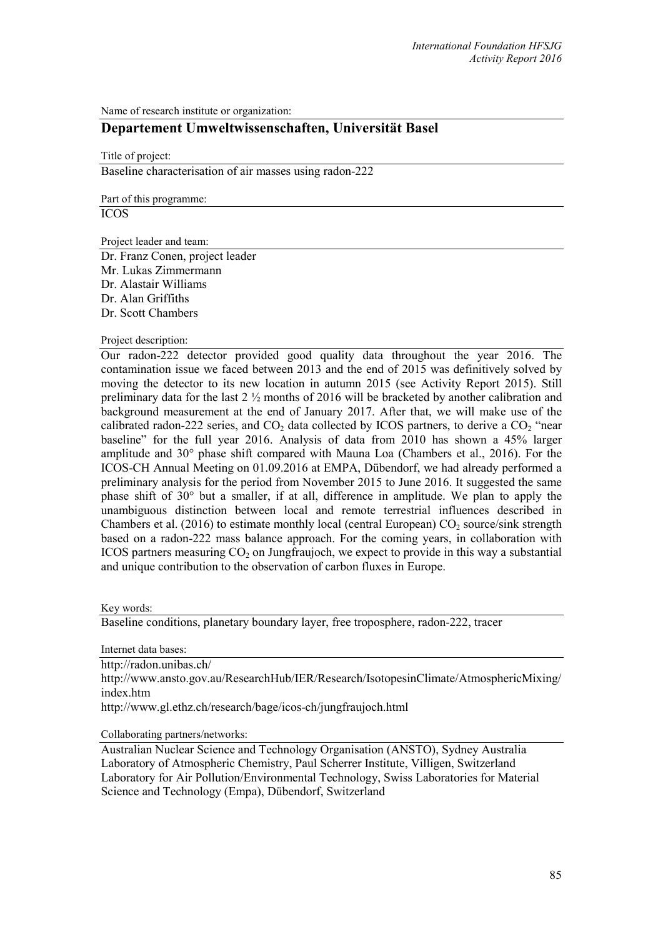Name of research institute or organization:

## **Departement Umweltwissenschaften, Universität Basel**

Title of project:

Baseline characterisation of air masses using radon-222

Part of this programme:

ICOS

Project leader and team:

Dr. Franz Conen, project leader Mr. Lukas Zimmermann Dr. Alastair Williams Dr. Alan Griffiths Dr. Scott Chambers

## Project description:

Our radon-222 detector provided good quality data throughout the year 2016. The contamination issue we faced between 2013 and the end of 2015 was definitively solved by moving the detector to its new location in autumn 2015 (see Activity Report 2015). Still preliminary data for the last 2 ½ months of 2016 will be bracketed by another calibration and background measurement at the end of January 2017. After that, we will make use of the calibrated radon-222 series, and  $CO<sub>2</sub>$  data collected by ICOS partners, to derive a  $CO<sub>2</sub>$  "near baseline" for the full year 2016. Analysis of data from 2010 has shown a 45% larger amplitude and 30° phase shift compared with Mauna Loa (Chambers et al., 2016). For the ICOS-CH Annual Meeting on 01.09.2016 at EMPA, Dübendorf, we had already performed a preliminary analysis for the period from November 2015 to June 2016. It suggested the same phase shift of 30° but a smaller, if at all, difference in amplitude. We plan to apply the unambiguous distinction between local and remote terrestrial influences described in Chambers et al.  $(2016)$  to estimate monthly local (central European) CO<sub>2</sub> source/sink strength based on a radon-222 mass balance approach. For the coming years, in collaboration with ICOS partners measuring  $CO<sub>2</sub>$  on Jungfraujoch, we expect to provide in this way a substantial and unique contribution to the observation of carbon fluxes in Europe.

Key words:

Baseline conditions, planetary boundary layer, free troposphere, radon-222, tracer

Internet data bases:

http://radon.unibas.ch/ http://www.ansto.gov.au/ResearchHub/IER/Research/IsotopesinClimate/AtmosphericMixing/ index.htm http://www.gl.ethz.ch/research/bage/icos-ch/jungfraujoch.html

Collaborating partners/networks:

Australian Nuclear Science and Technology Organisation (ANSTO), Sydney Australia Laboratory of Atmospheric Chemistry, Paul Scherrer Institute, Villigen, Switzerland Laboratory for Air Pollution/Environmental Technology, Swiss Laboratories for Material Science and Technology (Empa), Dübendorf, Switzerland